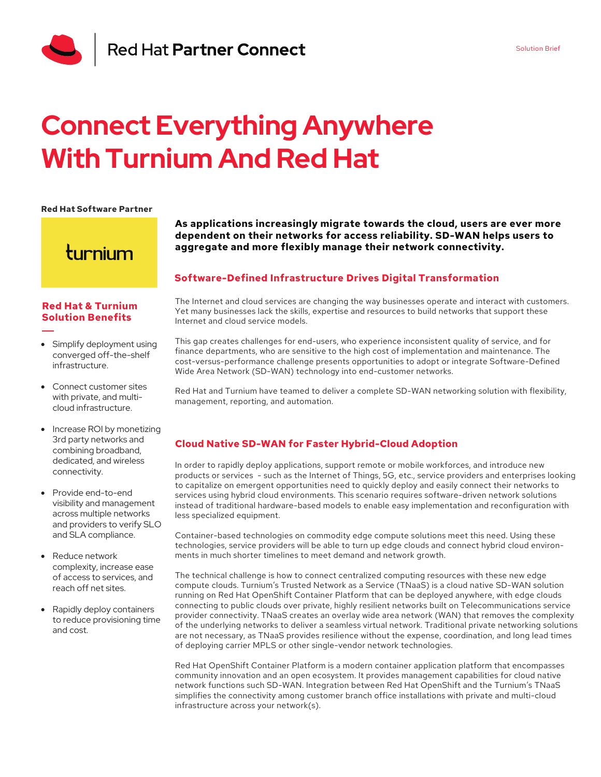

# **Connect Everything Anywhere With Turnium And Red Hat**

#### **Red Hat Software Partner**

turnium

### **Red Hat & Turnium Solution Benefits**

- Simplify deployment using converged off-the-shelf infrastructure.
- Connect customer sites with private, and multicloud infrastructure.
- Increase ROI by monetizing 3rd party networks and combining broadband, dedicated, and wireless connectivity.
- Provide end-to-end visibility and management across multiple networks and providers to verify SLO and SLA compliance.
- Reduce network complexity, increase ease of access to services, and reach off net sites.
- Rapidly deploy containers to reduce provisioning time and cost.

## **As applications increasingly migrate towards the cloud, users are ever more dependent on their networks for access reliability. SD-WAN helps users to aggregate and more flexibly manage their network connectivity.**

## **Software-Defined Infrastructure Drives Digital Transformation**

The Internet and cloud services are changing the way businesses operate and interact with customers. Yet many businesses lack the skills, expertise and resources to build networks that support these Internet and cloud service models.

This gap creates challenges for end-users, who experience inconsistent quality of service, and for finance departments, who are sensitive to the high cost of implementation and maintenance. The cost-versus-performance challenge presents opportunities to adopt or integrate Software-Defined Wide Area Network (SD-WAN) technology into end-customer networks.

Red Hat and Turnium have teamed to deliver a complete SD-WAN networking solution with flexibility, management, reporting, and automation.

# **Cloud Native SD-WAN for Faster Hybrid-Cloud Adoption**

In order to rapidly deploy applications, support remote or mobile workforces, and introduce new products or services - such as the Internet of Things, 5G, etc., service providers and enterprises looking to capitalize on emergent opportunities need to quickly deploy and easily connect their networks to services using hybrid cloud environments. This scenario requires software-driven network solutions instead of traditional hardware-based models to enable easy implementation and reconfiguration with less specialized equipment.

Container-based technologies on commodity edge compute solutions meet this need. Using these technologies, service providers will be able to turn up edge clouds and connect hybrid cloud environments in much shorter timelines to meet demand and network growth.

The technical challenge is how to connect centralized computing resources with these new edge compute clouds. Turnium's Trusted Network as a Service (TNaaS) is a cloud native SD-WAN solution running on Red Hat OpenShift Container Platform that can be deployed anywhere, with edge clouds connecting to public clouds over private, highly resilient networks built on Telecommunications service provider connectivity. TNaaS creates an overlay wide area network (WAN) that removes the complexity of the underlying networks to deliver a seamless virtual network. Traditional private networking solutions are not necessary, as TNaaS provides resilience without the expense, coordination, and long lead times of deploying carrier MPLS or other single-vendor network technologies.

Red Hat OpenShift Container Platform is a modern container application platform that encompasses community innovation and an open ecosystem. It provides management capabilities for cloud native network functions such SD-WAN. Integration between Red Hat OpenShift and the Turnium's TNaaS simplifies the connectivity among customer branch office installations with private and multi-cloud infrastructure across your network(s).